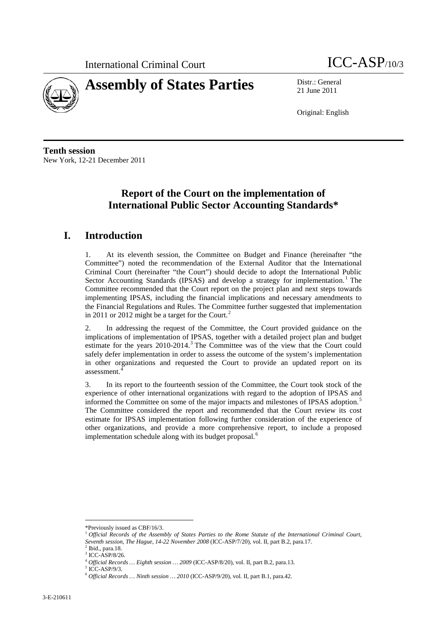



21 June 2011

Original: English

**Tenth session** New York, 12-21 December 2011

# **Report of the Court on the implementation of International Public Sector Accounting Standards\***

# **I. Introduction**

1. At its eleventh session, the Committee on Budget and Finance (hereinafter "the Committee") noted the recommendation of the External Auditor that the International Criminal Court (hereinafter "the Court") should decide to adopt the International Public Sector Accounting Standards (IPSAS) and develop a strategy for implementation.<sup>[1](#page-0-0)</sup> The Committee recommended that the Court report on the project plan and next steps towards implementing IPSAS, including the financial implications and necessary amendments to the Financial Regulations and Rules. The Committee further suggested that implementation in [2](#page-0-1)011 or 2012 might be a target for the Court.<sup>2</sup>

2. In addressing the request of the Committee, the Court provided guidance on the implications of implementation of IPSAS, together with a detailed project plan and budget estimate for the years 2010-2014.<sup>[3](#page-0-2)</sup> The Committee was of the view that the Court could safely defer implementation in order to assess the outcome of the system's implementation in other organizations and requested the Court to provide an updated report on its assessment.

3. In its report to the fourteenth session of the Committee, the Court took stock of the experience of other international organizations with regard to the adoption of IPSAS and informed the Committee on some of the major impacts and milestones of IPSAS adoption.<sup>[5](#page-0-4)</sup> The Committee considered the report and recommended that the Court review its cost estimate for IPSAS implementation following further consideration of the experience of other organizations, and provide a more comprehensive report, to include a proposed implementation schedule along with its budget proposal.<sup>[6](#page-0-5)</sup>

<span id="page-0-0"></span> <sup>\*</sup>Previously issued as CBF/16/3. <sup>1</sup> *Official Records of the Assembly of States Parties to the Rome Statute of the International Criminal Court, Seventh session, The Hague, 14-22 November 2008* (ICC-ASP/7/20), vol. II, part B.2, para.17.

<span id="page-0-1"></span> $^2$  Ibid., para.18.<br> $^3$  ICC-ASP/8/26.

<span id="page-0-2"></span><sup>4</sup> *Official Records … Eighth session … 2009* (ICC-ASP/8/20), vol. II, part B.2, para.13.

<span id="page-0-5"></span><span id="page-0-4"></span><span id="page-0-3"></span>

<sup>5</sup> ICC-ASP/9/3. <sup>6</sup> *Official Records … Ninth session … 2010* (ICC-ASP/9/20), vol. II, part B.1, para.42.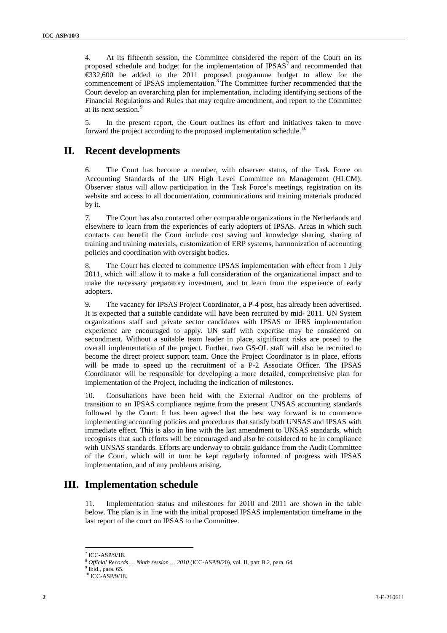4. At its fifteenth session, the Committee considered the report of the Court on its proposed schedule and budget for the implementation of  $IPSAS<sup>7</sup>$  $IPSAS<sup>7</sup>$  $IPSAS<sup>7</sup>$  and recommended that €332,600 be added to the 2011 proposed programme budget to allow for the commencement of IPSAS implementation.<sup>[8](#page-1-1)</sup> The Committee further recommended that the Court develop an overarching plan for implementation, including identifying sections of the Financial Regulations and Rules that may require amendment, and report to the Committee at its next session.<sup>[9](#page-1-2)</sup>

5. In the present report, the Court outlines its effort and initiatives taken to move forward the project according to the proposed implementation schedule.<sup>[10](#page-1-3)</sup>

## **II. Recent developments**

6. The Court has become a member, with observer status, of the Task Force on Accounting Standards of the UN High Level Committee on Management (HLCM). Observer status will allow participation in the Task Force's meetings, registration on its website and access to all documentation, communications and training materials produced by it.

7. The Court has also contacted other comparable organizations in the Netherlands and elsewhere to learn from the experiences of early adopters of IPSAS. Areas in which such contacts can benefit the Court include cost saving and knowledge sharing, sharing of training and training materials, customization of ERP systems, harmonization of accounting policies and coordination with oversight bodies.

8. The Court has elected to commence IPSAS implementation with effect from 1 July 2011, which will allow it to make a full consideration of the organizational impact and to make the necessary preparatory investment, and to learn from the experience of early adopters.

9. The vacancy for IPSAS Project Coordinator, a P-4 post, has already been advertised. It is expected that a suitable candidate will have been recruited by mid- 2011. UN System organizations staff and private sector candidates with IPSAS or IFRS implementation experience are encouraged to apply. UN staff with expertise may be considered on secondment. Without a suitable team leader in place, significant risks are posed to the overall implementation of the project. Further, two GS-OL staff will also be recruited to become the direct project support team. Once the Project Coordinator is in place, efforts will be made to speed up the recruitment of a P-2 Associate Officer. The IPSAS Coordinator will be responsible for developing a more detailed, comprehensive plan for implementation of the Project, including the indication of milestones.

10. Consultations have been held with the External Auditor on the problems of transition to an IPSAS compliance regime from the present UNSAS accounting standards followed by the Court. It has been agreed that the best way forward is to commence implementing accounting policies and procedures that satisfy both UNSAS and IPSAS with immediate effect. This is also in line with the last amendment to UNSAS standards, which recognises that such efforts will be encouraged and also be considered to be in compliance with UNSAS standards. Efforts are underway to obtain guidance from the Audit Committee of the Court, which will in turn be kept regularly informed of progress with IPSAS implementation, and of any problems arising.

### **III. Implementation schedule**

11. Implementation status and milestones for 2010 and 2011 are shown in the table below. The plan is in line with the initial proposed IPSAS implementation timeframe in the last report of the court on IPSAS to the Committee.

<span id="page-1-1"></span><span id="page-1-0"></span>ICC-ASP/9/18.

 $^8$   $\emph{Official Records}$   $\ldots$   $\emph{Ninth session}$   $\ldots$   $\emph{2010}$  (ICC-ASP/9/20), vol. II, part B.2, para. 64.  $^9$  Ibid., para. 65.

<span id="page-1-3"></span><span id="page-1-2"></span> $10$  ICC-ASP/9/18.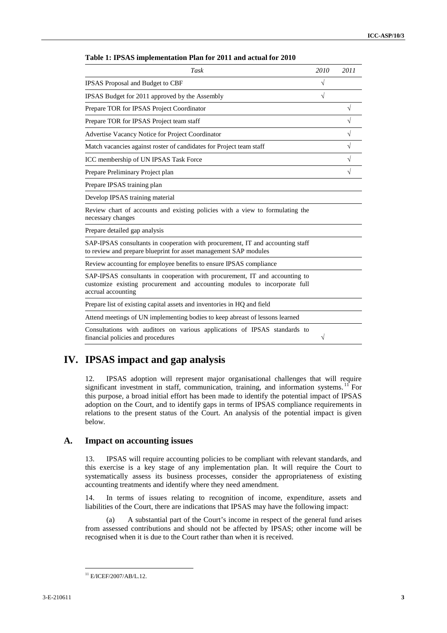| Task                                                                                                                                                                           | 2010      | 2011 |
|--------------------------------------------------------------------------------------------------------------------------------------------------------------------------------|-----------|------|
| IPSAS Proposal and Budget to CBF                                                                                                                                               |           |      |
| IPSAS Budget for 2011 approved by the Assembly                                                                                                                                 | $\sqrt{}$ |      |
| Prepare TOR for IPSAS Project Coordinator                                                                                                                                      |           | V    |
| Prepare TOR for IPSAS Project team staff                                                                                                                                       |           |      |
| Advertise Vacancy Notice for Project Coordinator                                                                                                                               |           | V    |
| Match vacancies against roster of candidates for Project team staff                                                                                                            |           | V    |
| ICC membership of UN IPSAS Task Force                                                                                                                                          |           |      |
| Prepare Preliminary Project plan                                                                                                                                               |           |      |
| Prepare IPSAS training plan                                                                                                                                                    |           |      |
| Develop IPSAS training material                                                                                                                                                |           |      |
| Review chart of accounts and existing policies with a view to formulating the<br>necessary changes                                                                             |           |      |
| Prepare detailed gap analysis                                                                                                                                                  |           |      |
| SAP-IPSAS consultants in cooperation with procurement, IT and accounting staff<br>to review and prepare blueprint for asset management SAP modules                             |           |      |
| Review accounting for employee benefits to ensure IPSAS compliance                                                                                                             |           |      |
| SAP-IPSAS consultants in cooperation with procurement, IT and accounting to<br>customize existing procurement and accounting modules to incorporate full<br>accrual accounting |           |      |
| Prepare list of existing capital assets and inventories in HQ and field                                                                                                        |           |      |
| Attend meetings of UN implementing bodies to keep abreast of lessons learned                                                                                                   |           |      |
| Consultations with auditors on various applications of IPSAS standards to<br>financial policies and procedures                                                                 | V         |      |

#### **Table 1: IPSAS implementation Plan for 2011 and actual for 2010**

# **IV. IPSAS impact and gap analysis**

12. IPSAS adoption will represent major organisational challenges that will require significant investment in staff, communication, training, and information systems.<sup>[11](#page-2-0)</sup> For this purpose, a broad initial effort has been made to identify the potential impact of IPSAS adoption on the Court, and to identify gaps in terms of IPSAS compliance requirements in relations to the present status of the Court. An analysis of the potential impact is given below.

### **A. Impact on accounting issues**

13. IPSAS will require accounting policies to be compliant with relevant standards, and this exercise is a key stage of any implementation plan. It will require the Court to systematically assess its business processes, consider the appropriateness of existing accounting treatments and identify where they need amendment.

14. In terms of issues relating to recognition of income, expenditure, assets and liabilities of the Court, there are indications that IPSAS may have the following impact:

(a) A substantial part of the Court's income in respect of the general fund arises from assessed contributions and should not be affected by IPSAS; other income will be recognised when it is due to the Court rather than when it is received.

<span id="page-2-0"></span> $11$  E/ICEF/2007/AB/L.12.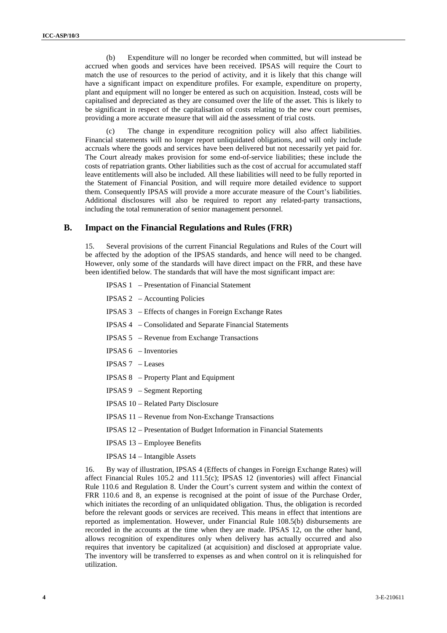(b) Expenditure will no longer be recorded when committed, but will instead be accrued when goods and services have been received. IPSAS will require the Court to match the use of resources to the period of activity, and it is likely that this change will have a significant impact on expenditure profiles. For example, expenditure on property, plant and equipment will no longer be entered as such on acquisition. Instead, costs will be capitalised and depreciated as they are consumed over the life of the asset. This is likely to be significant in respect of the capitalisation of costs relating to the new court premises, providing a more accurate measure that will aid the assessment of trial costs.

(c) The change in expenditure recognition policy will also affect liabilities. Financial statements will no longer report unliquidated obligations, and will only include accruals where the goods and services have been delivered but not necessarily yet paid for. The Court already makes provision for some end-of-service liabilities; these include the costs of repatriation grants. Other liabilities such as the cost of accrual for accumulated staff leave entitlements will also be included. All these liabilities will need to be fully reported in the Statement of Financial Position, and will require more detailed evidence to support them. Consequently IPSAS will provide a more accurate measure of the Court's liabilities. Additional disclosures will also be required to report any related-party transactions, including the total remuneration of senior management personnel.

#### **B. Impact on the Financial Regulations and Rules (FRR)**

15. Several provisions of the current Financial Regulations and Rules of the Court will be affected by the adoption of the IPSAS standards, and hence will need to be changed. However, only some of the standards will have direct impact on the FRR, and these have been identified below. The standards that will have the most significant impact are:

- IPSAS 1 Presentation of Financial Statement
- IPSAS 2 Accounting Policies
- IPSAS 3 Effects of changes in Foreign Exchange Rates
- IPSAS 4 Consolidated and Separate Financial Statements
- IPSAS 5 Revenue from Exchange Transactions
- IPSAS 6 Inventories
- IPSAS 7 Leases
- IPSAS 8 Property Plant and Equipment
- IPSAS 9 Segment Reporting
- IPSAS 10 Related Party Disclosure
- IPSAS 11 Revenue from Non-Exchange Transactions
- IPSAS 12 Presentation of Budget Information in Financial Statements
- IPSAS 13 Employee Benefits
- IPSAS 14 Intangible Assets

16. By way of illustration, IPSAS 4 (Effects of changes in Foreign Exchange Rates) will affect Financial Rules 105.2 and 111.5(c); IPSAS 12 (inventories) will affect Financial Rule 110.6 and Regulation 8. Under the Court's current system and within the context of FRR 110.6 and 8, an expense is recognised at the point of issue of the Purchase Order, which initiates the recording of an unliquidated obligation. Thus, the obligation is recorded before the relevant goods or services are received. This means in effect that intentions are reported as implementation. However, under Financial Rule 108.5(b) disbursements are recorded in the accounts at the time when they are made. IPSAS 12, on the other hand, allows recognition of expenditures only when delivery has actually occurred and also requires that inventory be capitalized (at acquisition) and disclosed at appropriate value. The inventory will be transferred to expenses as and when control on it is relinquished for utilization.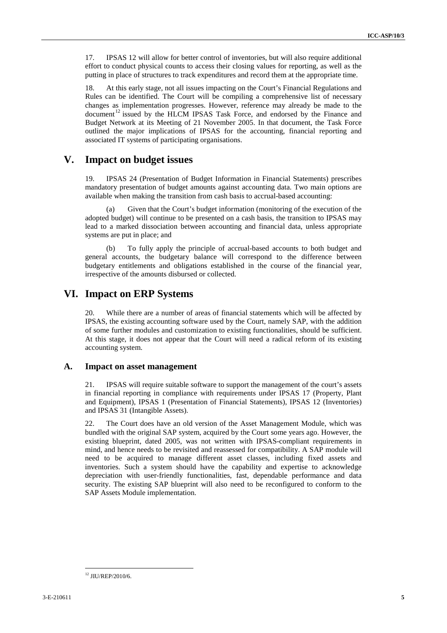17. IPSAS 12 will allow for better control of inventories, but will also require additional effort to conduct physical counts to access their closing values for reporting, as well as the putting in place of structures to track expenditures and record them at the appropriate time.

18. At this early stage, not all issues impacting on the Court's Financial Regulations and Rules can be identified. The Court will be compiling a comprehensive list of necessary changes as implementation progresses. However, reference may already be made to the document<sup>[12](#page-4-0)</sup> issued by the HLCM IPSAS Task Force, and endorsed by the Finance and Budget Network at its Meeting of 21 November 2005. In that document, the Task Force outlined the major implications of IPSAS for the accounting, financial reporting and associated IT systems of participating organisations.

### **V. Impact on budget issues**

19. IPSAS 24 (Presentation of Budget Information in Financial Statements) prescribes mandatory presentation of budget amounts against accounting data. Two main options are available when making the transition from cash basis to accrual-based accounting:

(a) Given that the Court's budget information (monitoring of the execution of the adopted budget) will continue to be presented on a cash basis, the transition to IPSAS may lead to a marked dissociation between accounting and financial data, unless appropriate systems are put in place; and

(b) To fully apply the principle of accrual-based accounts to both budget and general accounts, the budgetary balance will correspond to the difference between budgetary entitlements and obligations established in the course of the financial year, irrespective of the amounts disbursed or collected.

### **VI. Impact on ERP Systems**

20. While there are a number of areas of financial statements which will be affected by IPSAS, the existing accounting software used by the Court, namely SAP, with the addition of some further modules and customization to existing functionalities, should be sufficient. At this stage, it does not appear that the Court will need a radical reform of its existing accounting system.

#### **A. Impact on asset management**

21. IPSAS will require suitable software to support the management of the court's assets in financial reporting in compliance with requirements under IPSAS 17 (Property, Plant and Equipment), IPSAS 1 (Presentation of Financial Statements), IPSAS 12 (Inventories) and IPSAS 31 (Intangible Assets).

22. The Court does have an old version of the Asset Management Module, which was bundled with the original SAP system, acquired by the Court some years ago. However, the existing blueprint, dated 2005, was not written with IPSAS-compliant requirements in mind, and hence needs to be revisited and reassessed for compatibility. A SAP module will need to be acquired to manage different asset classes, including fixed assets and inventories. Such a system should have the capability and expertise to acknowledge depreciation with user-friendly functionalities, fast, dependable performance and data security. The existing SAP blueprint will also need to be reconfigured to conform to the SAP Assets Module implementation.

<span id="page-4-0"></span> <sup>12</sup> JIU/REP/2010/6.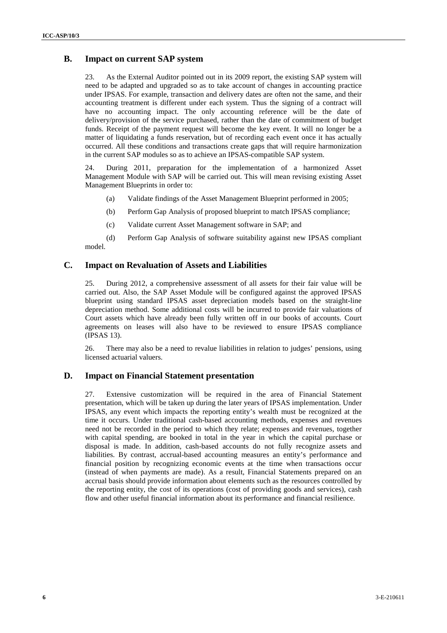### **B. Impact on current SAP system**

23. As the External Auditor pointed out in its 2009 report, the existing SAP system will need to be adapted and upgraded so as to take account of changes in accounting practice under IPSAS. For example, transaction and delivery dates are often not the same, and their accounting treatment is different under each system. Thus the signing of a contract will have no accounting impact. The only accounting reference will be the date of delivery/provision of the service purchased, rather than the date of commitment of budget funds. Receipt of the payment request will become the key event. It will no longer be a matter of liquidating a funds reservation, but of recording each event once it has actually occurred. All these conditions and transactions create gaps that will require harmonization in the current SAP modules so as to achieve an IPSAS-compatible SAP system.

24. During 2011, preparation for the implementation of a harmonized Asset Management Module with SAP will be carried out. This will mean revising existing Asset Management Blueprints in order to:

- (a) Validate findings of the Asset Management Blueprint performed in 2005;
- (b) Perform Gap Analysis of proposed blueprint to match IPSAS compliance;
- (c) Validate current Asset Management software in SAP; and

(d) Perform Gap Analysis of software suitability against new IPSAS compliant model.

#### **C. Impact on Revaluation of Assets and Liabilities**

25. During 2012, a comprehensive assessment of all assets for their fair value will be carried out. Also, the SAP Asset Module will be configured against the approved IPSAS blueprint using standard IPSAS asset depreciation models based on the straight-line depreciation method. Some additional costs will be incurred to provide fair valuations of Court assets which have already been fully written off in our books of accounts. Court agreements on leases will also have to be reviewed to ensure IPSAS compliance (IPSAS 13).

26. There may also be a need to revalue liabilities in relation to judges' pensions, using licensed actuarial valuers.

### **D. Impact on Financial Statement presentation**

27. Extensive customization will be required in the area of Financial Statement presentation, which will be taken up during the later years of IPSAS implementation. Under IPSAS, any event which impacts the reporting entity's wealth must be recognized at the time it occurs. Under traditional cash-based accounting methods, expenses and revenues need not be recorded in the period to which they relate; expenses and revenues, together with capital spending, are booked in total in the year in which the capital purchase or disposal is made. In addition, cash-based accounts do not fully recognize assets and liabilities. By contrast, accrual-based accounting measures an entity's performance and financial position by recognizing economic events at the time when transactions occur (instead of when payments are made). As a result, Financial Statements prepared on an accrual basis should provide information about elements such as the resources controlled by the reporting entity, the cost of its operations (cost of providing goods and services), cash flow and other useful financial information about its performance and financial resilience.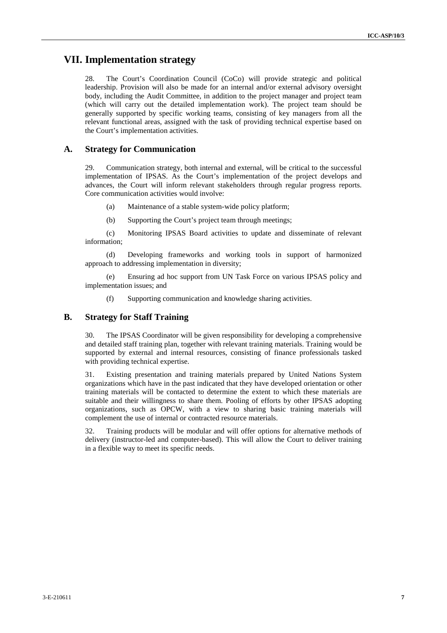## **VII. Implementation strategy**

28. The Court's Coordination Council (CoCo) will provide strategic and political leadership. Provision will also be made for an internal and/or external advisory oversight body, including the Audit Committee, in addition to the project manager and project team (which will carry out the detailed implementation work). The project team should be generally supported by specific working teams, consisting of key managers from all the relevant functional areas, assigned with the task of providing technical expertise based on the Court's implementation activities.

### **A. Strategy for Communication**

29. Communication strategy, both internal and external, will be critical to the successful implementation of IPSAS. As the Court's implementation of the project develops and advances, the Court will inform relevant stakeholders through regular progress reports. Core communication activities would involve:

(a) Maintenance of a stable system-wide policy platform;

(b) Supporting the Court's project team through meetings;

(c) Monitoring IPSAS Board activities to update and disseminate of relevant information;

(d) Developing frameworks and working tools in support of harmonized approach to addressing implementation in diversity;

(e) Ensuring ad hoc support from UN Task Force on various IPSAS policy and implementation issues; and

(f) Supporting communication and knowledge sharing activities.

### **B. Strategy for Staff Training**

30. The IPSAS Coordinator will be given responsibility for developing a comprehensive and detailed staff training plan, together with relevant training materials. Training would be supported by external and internal resources, consisting of finance professionals tasked with providing technical expertise.

31. Existing presentation and training materials prepared by United Nations System organizations which have in the past indicated that they have developed orientation or other training materials will be contacted to determine the extent to which these materials are suitable and their willingness to share them. Pooling of efforts by other IPSAS adopting organizations, such as OPCW, with a view to sharing basic training materials will complement the use of internal or contracted resource materials.

32. Training products will be modular and will offer options for alternative methods of delivery (instructor-led and computer-based). This will allow the Court to deliver training in a flexible way to meet its specific needs.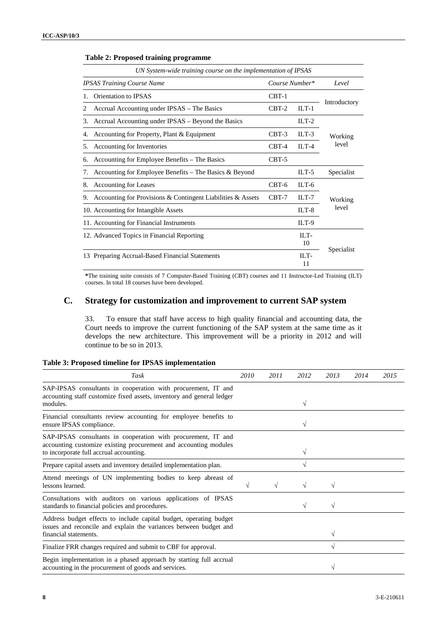|                                                                                                           | UN System-wide training course on the implementation of IPSAS |                    |                  |                  |  |
|-----------------------------------------------------------------------------------------------------------|---------------------------------------------------------------|--------------------|------------------|------------------|--|
| <b>IPSAS Training Course Name</b>                                                                         |                                                               | Course Number*     |                  | Level            |  |
| 1.                                                                                                        | Orientation to IPSAS                                          | $CBT-1$            |                  |                  |  |
| 2                                                                                                         | Accrual Accounting under IPSAS – The Basics                   | $CBT-2$<br>$ILT-1$ |                  | Introductory     |  |
| 3.                                                                                                        | Accrual Accounting under IPSAS – Beyond the Basics            |                    | $ILT-2$          |                  |  |
| 4.                                                                                                        | Accounting for Property, Plant & Equipment<br>$CBT-3$         |                    | $ILT-3$          | Working<br>level |  |
| Accounting for Inventories<br>5.                                                                          |                                                               | $CBT-4$            | $ILT-4$          |                  |  |
| 6.                                                                                                        | Accounting for Employee Benefits – The Basics                 | $CBT-5$            |                  |                  |  |
| 7.                                                                                                        | Accounting for Employee Benefits – The Basics $&$ Beyond      |                    | ILT- $5$         | Specialist       |  |
| 8.                                                                                                        | Accounting for Leases                                         | $CBT-6$            | $ILT-6$          |                  |  |
| Accounting for Provisions & Contingent Liabilities & Assets<br>9.<br>10. Accounting for Intangible Assets |                                                               | $CBT-7$            | $ILT-7$          | Working          |  |
|                                                                                                           |                                                               |                    | $ILT-8$          | level            |  |
|                                                                                                           | 11. Accounting for Financial Instruments                      |                    | $ILT-9$          |                  |  |
|                                                                                                           | 12. Advanced Topics in Financial Reporting                    |                    | $\Pi$ . T-<br>10 |                  |  |
| 13 Preparing Accrual-Based Financial Statements                                                           |                                                               | ILT-<br>11         |                  | Specialist       |  |

#### **Table 2: Proposed training programme**

**\***The training suite consists of 7 Computer-Based Training (CBT) courses and 11 Instructor-Led Training (ILT) courses. In total 18 courses have been developed.

## **C. Strategy for customization and improvement to current SAP system**

33. To ensure that staff have access to high quality financial and accounting data, the Court needs to improve the current functioning of the SAP system at the same time as it develops the new architecture. This improvement will be a priority in 2012 and will continue to be so in 2013.

|  |  | Table 3: Proposed timeline for IPSAS implementation |
|--|--|-----------------------------------------------------|
|  |  |                                                     |

| Task                                                                                                                                                                         | 2010 | 2011 | 2012 | 2013 | 2014 | 2015 |
|------------------------------------------------------------------------------------------------------------------------------------------------------------------------------|------|------|------|------|------|------|
| SAP-IPSAS consultants in cooperation with procurement, IT and<br>accounting staff customize fixed assets, inventory and general ledger<br>modules.                           |      |      | V    |      |      |      |
| Financial consultants review accounting for employee benefits to<br>ensure IPSAS compliance.                                                                                 |      |      |      |      |      |      |
| SAP-IPSAS consultants in cooperation with procurement, IT and<br>accounting customize existing procurement and accounting modules<br>to incorporate full accrual accounting. |      |      | V    |      |      |      |
| Prepare capital assets and inventory detailed implementation plan.                                                                                                           |      |      |      |      |      |      |
| Attend meetings of UN implementing bodies to keep abreast of<br>lessons learned.                                                                                             |      |      |      |      |      |      |
| Consultations with auditors on various applications of IPSAS<br>standards to financial policies and procedures.                                                              |      |      | V    |      |      |      |
| Address budget effects to include capital budget, operating budget<br>issues and reconcile and explain the variances between budget and<br>financial statements.             |      |      |      |      |      |      |
| Finalize FRR changes required and submit to CBF for approval.                                                                                                                |      |      |      |      |      |      |
| Begin implementation in a phased approach by starting full accrual<br>accounting in the procurement of goods and services.                                                   |      |      |      |      |      |      |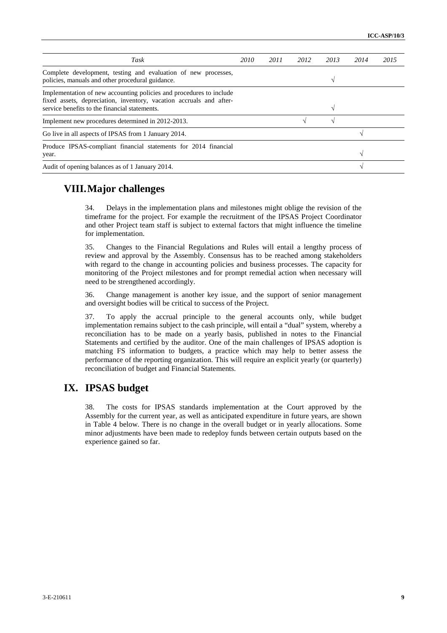| Task                                                                                                                                                                                        | 2010 | 2011 | 2012 | 2013 | 2014       | 2015 |
|---------------------------------------------------------------------------------------------------------------------------------------------------------------------------------------------|------|------|------|------|------------|------|
| Complete development, testing and evaluation of new processes,<br>policies, manuals and other procedural guidance.                                                                          |      |      |      |      |            |      |
| Implementation of new accounting policies and procedures to include<br>fixed assets, depreciation, inventory, vacation accruals and after-<br>service benefits to the financial statements. |      |      |      |      |            |      |
| Implement new procedures determined in 2012-2013.                                                                                                                                           |      |      |      |      |            |      |
| Go live in all aspects of IPSAS from 1 January 2014.                                                                                                                                        |      |      |      |      |            |      |
| Produce IPSAS-compliant financial statements for 2014 financial<br>year.                                                                                                                    |      |      |      |      | $\sqrt{ }$ |      |
| Audit of opening balances as of 1 January 2014.                                                                                                                                             |      |      |      |      | $\sim$     |      |

## **VIII.Major challenges**

34. Delays in the implementation plans and milestones might oblige the revision of the timeframe for the project. For example the recruitment of the IPSAS Project Coordinator and other Project team staff is subject to external factors that might influence the timeline for implementation.

35. Changes to the Financial Regulations and Rules will entail a lengthy process of review and approval by the Assembly. Consensus has to be reached among stakeholders with regard to the change in accounting policies and business processes. The capacity for monitoring of the Project milestones and for prompt remedial action when necessary will need to be strengthened accordingly.

36. Change management is another key issue, and the support of senior management and oversight bodies will be critical to success of the Project.

37. To apply the accrual principle to the general accounts only, while budget implementation remains subject to the cash principle, will entail a "dual" system, whereby a reconciliation has to be made on a yearly basis, published in notes to the Financial Statements and certified by the auditor. One of the main challenges of IPSAS adoption is matching FS information to budgets, a practice which may help to better assess the performance of the reporting organization. This will require an explicit yearly (or quarterly) reconciliation of budget and Financial Statements.

# **IX. IPSAS budget**

38. The costs for IPSAS standards implementation at the Court approved by the Assembly for the current year, as well as anticipated expenditure in future years, are shown in Table 4 below. There is no change in the overall budget or in yearly allocations. Some minor adjustments have been made to redeploy funds between certain outputs based on the experience gained so far.